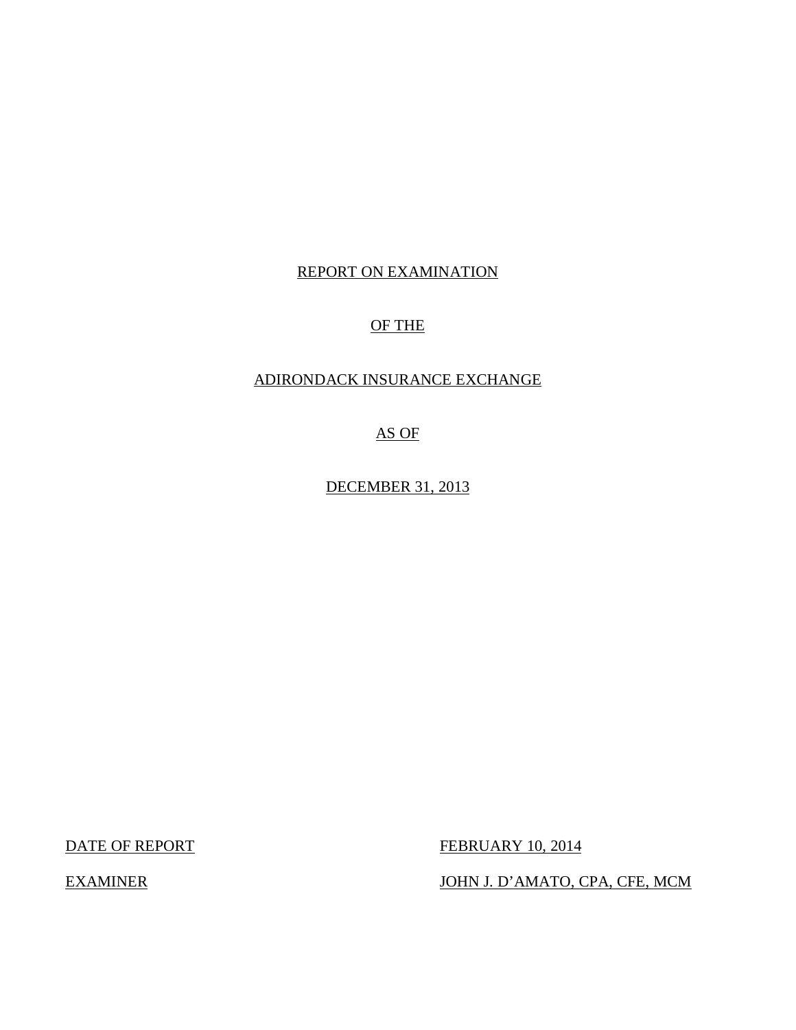## REPORT ON EXAMINATION

## OF THE

## ADIRONDACK INSURANCE EXCHANGE

AS OF

DECEMBER 31, 2013

DATE OF REPORT FEBRUARY 10, 2014

EXAMINER JOHN J. D'AMATO, CPA, CFE, MCM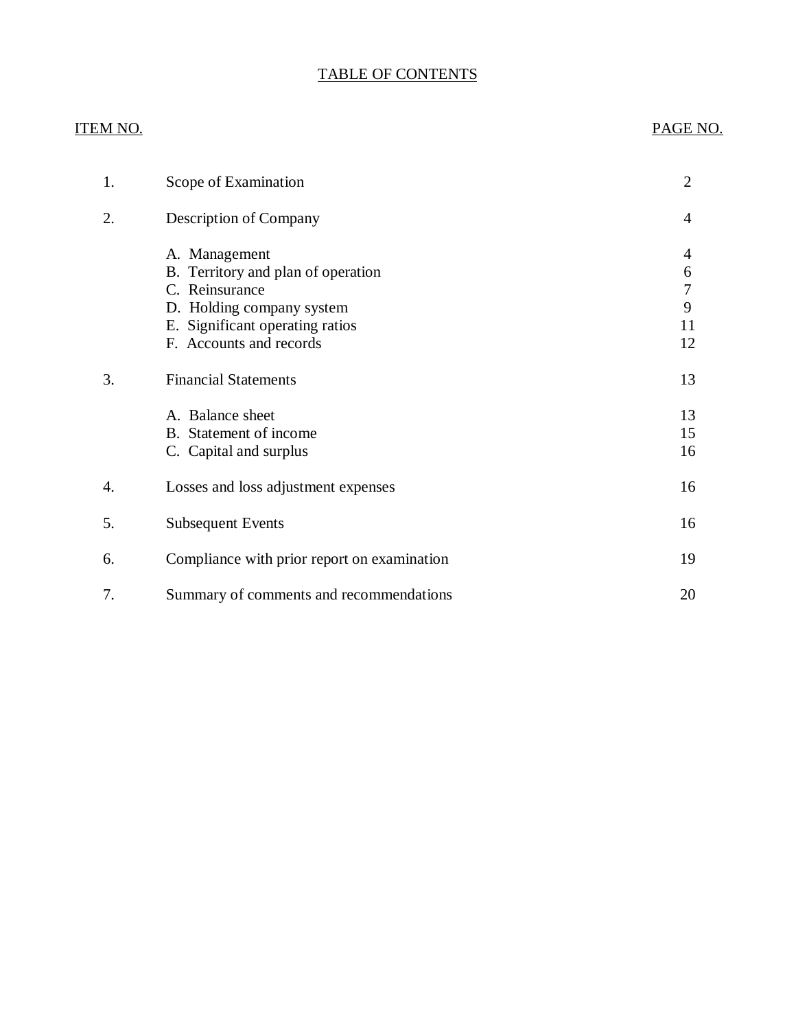## TABLE OF CONTENTS

# ITEM NO. PAGE NO. [1. Scope of Examination 2](#page-3-0) [2. Description of Company 4](#page-5-0) [A. Management 4](#page-5-0) [B. Territory and plan of operation 6](#page-7-0) C. Reinsurance 7 D. Holding company system 9 [E. Significant operating ratios 11](#page-12-0) [F. Accounts and records 12](#page-13-0) 3. Financial Statements 13 A. Balance sheet 13 B. Statement of income 15 C. Capital and surplus 16 4. Losses and loss adjustment expenses 16 5. Subsequent Events 16 6. Compliance with prior report on examination 19 [7. Summary of comments and recommendations 20](#page-21-0)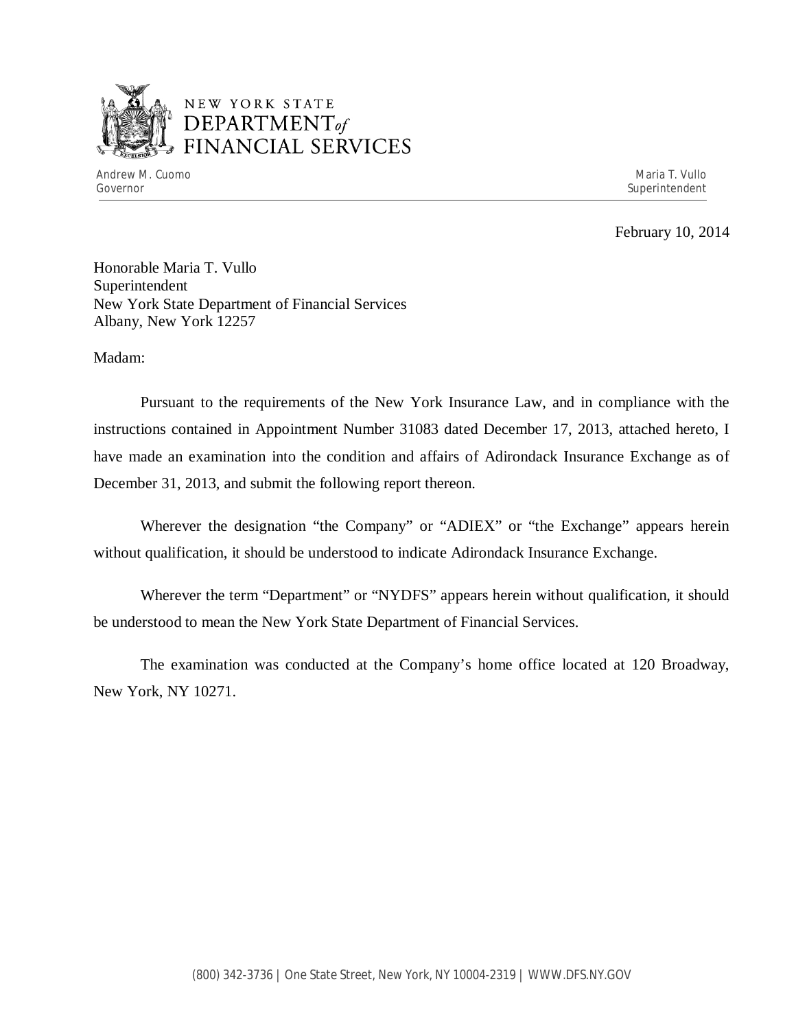

## NEW YORK STATE *DEPARTMENTof*  FINANCIAL SERVICES

February 10, 2014

Honorable Maria T. Vullo Superintendent New York State Department of Financial Services Albany, New York 12257

Madam:

Pursuant to the requirements of the New York Insurance Law, and in compliance with the instructions contained in Appointment Number 31083 dated December 17, 2013, attached hereto, I have made an examination into the condition and affairs of Adirondack Insurance Exchange as of December 31, 2013, and submit the following report thereon.

Wherever the designation "the Company" or "ADIEX" or "the Exchange" appears herein without qualification, it should be understood to indicate Adirondack Insurance Exchange.

Wherever the term "Department" or "NYDFS" appears herein without qualification, it should be understood to mean the New York State Department of Financial Services.

The examination was conducted at the Company's home office located at 120 Broadway, New York, NY 10271.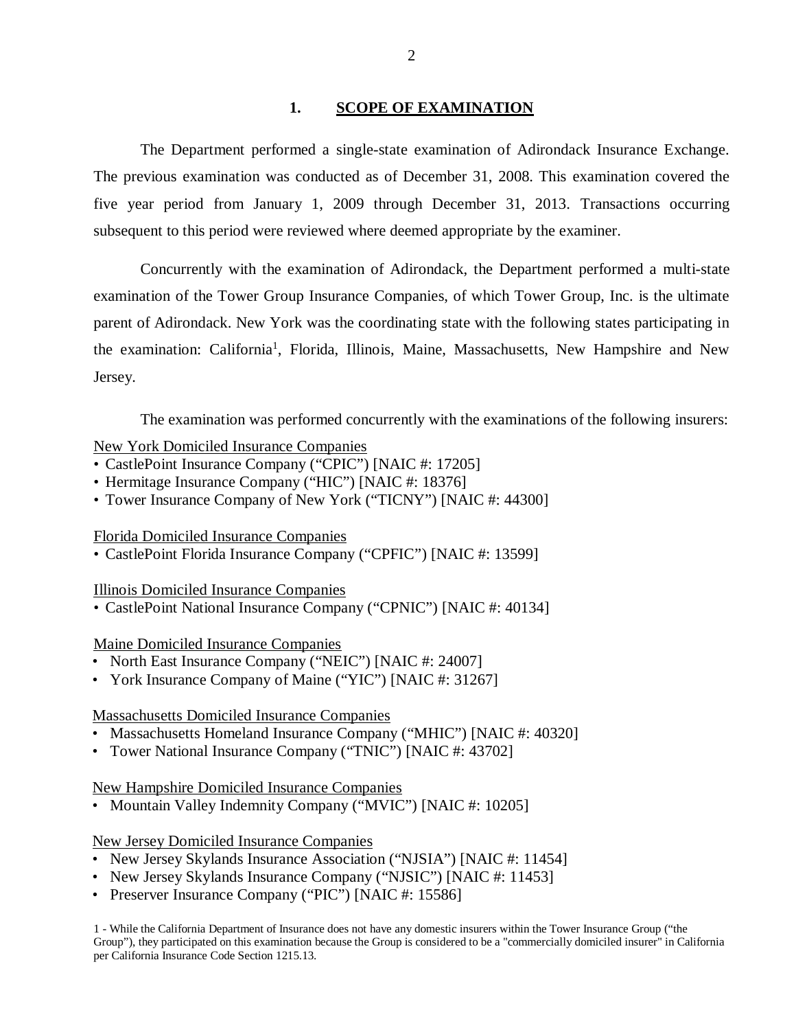## **1. SCOPE OF EXAMINATION**

<span id="page-3-0"></span>The Department performed a single-state examination of Adirondack Insurance Exchange. The previous examination was conducted as of December 31, 2008. This examination covered the five year period from January 1, 2009 through December 31, 2013. Transactions occurring subsequent to this period were reviewed where deemed appropriate by the examiner.

Concurrently with the examination of Adirondack, the Department performed a multi-state examination of the Tower Group Insurance Companies, of which Tower Group, Inc. is the ultimate parent of Adirondack. New York was the coordinating state with the following states participating in the examination: California<sup>1</sup>, Florida, Illinois, Maine, Massachusetts, New Hampshire and New Jersey.

The examination was performed concurrently with the examinations of the following insurers:

## New York Domiciled Insurance Companies

- CastlePoint Insurance Company ("CPIC") [NAIC #: 17205]
- Hermitage Insurance Company ("HIC") [NAIC #: 18376]
- Tower Insurance Company of New York ("TICNY") [NAIC #: 44300]

## Florida Domiciled Insurance Companies

• CastlePoint Florida Insurance Company ("CPFIC") [NAIC #: 13599]

#### Illinois Domiciled Insurance Companies

• CastlePoint National Insurance Company ("CPNIC") [NAIC #: 40134]

## Maine Domiciled Insurance Companies

- North East Insurance Company ("NEIC") [NAIC #: 24007]
- York Insurance Company of Maine ("YIC") [NAIC #: 31267]

## Massachusetts Domiciled Insurance Companies

- Massachusetts Homeland Insurance Company ("MHIC") [NAIC #: 40320]
- Tower National Insurance Company ("TNIC") [NAIC #: 43702]

New Hampshire Domiciled Insurance Companies

• Mountain Valley Indemnity Company ("MVIC") [NAIC #: 10205]

## New Jersey Domiciled Insurance Companies

- New Jersey Skylands Insurance Association ("NJSIA") [NAIC #: 11454]
- New Jersey Skylands Insurance Company ("NJSIC") [NAIC #: 11453]
- Preserver Insurance Company ("PIC") [NAIC #: 15586]

1 - While the California Department of Insurance does not have any domestic insurers within the Tower Insurance Group ("the Group"), they participated on this examination because the Group is considered to be a "commercially domiciled insurer" in California per California Insurance Code Section 1215.13.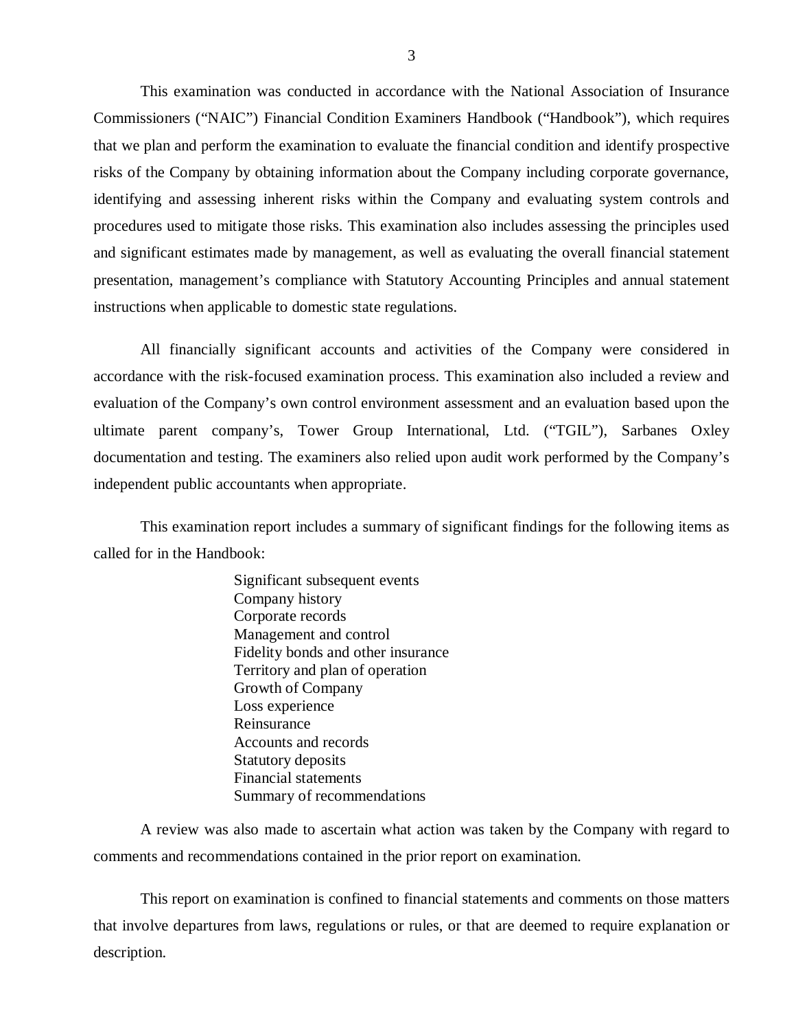This examination was conducted in accordance with the National Association of Insurance Commissioners ("NAIC") Financial Condition Examiners Handbook ("Handbook"), which requires that we plan and perform the examination to evaluate the financial condition and identify prospective risks of the Company by obtaining information about the Company including corporate governance, identifying and assessing inherent risks within the Company and evaluating system controls and procedures used to mitigate those risks. This examination also includes assessing the principles used and significant estimates made by management, as well as evaluating the overall financial statement presentation, management's compliance with Statutory Accounting Principles and annual statement instructions when applicable to domestic state regulations.

All financially significant accounts and activities of the Company were considered in accordance with the risk-focused examination process. This examination also included a review and evaluation of the Company's own control environment assessment and an evaluation based upon the ultimate parent company's, Tower Group International, Ltd. ("TGIL"), Sarbanes Oxley documentation and testing. The examiners also relied upon audit work performed by the Company's independent public accountants when appropriate.

This examination report includes a summary of significant findings for the following items as called for in the Handbook:

> Significant subsequent events Company history Corporate records Management and control Fidelity bonds and other insurance Territory and plan of operation Growth of Company Loss experience Reinsurance Accounts and records Statutory deposits Financial statements Summary of recommendations

A review was also made to ascertain what action was taken by the Company with regard to comments and recommendations contained in the prior report on examination.

This report on examination is confined to financial statements and comments on those matters that involve departures from laws, regulations or rules, or that are deemed to require explanation or description.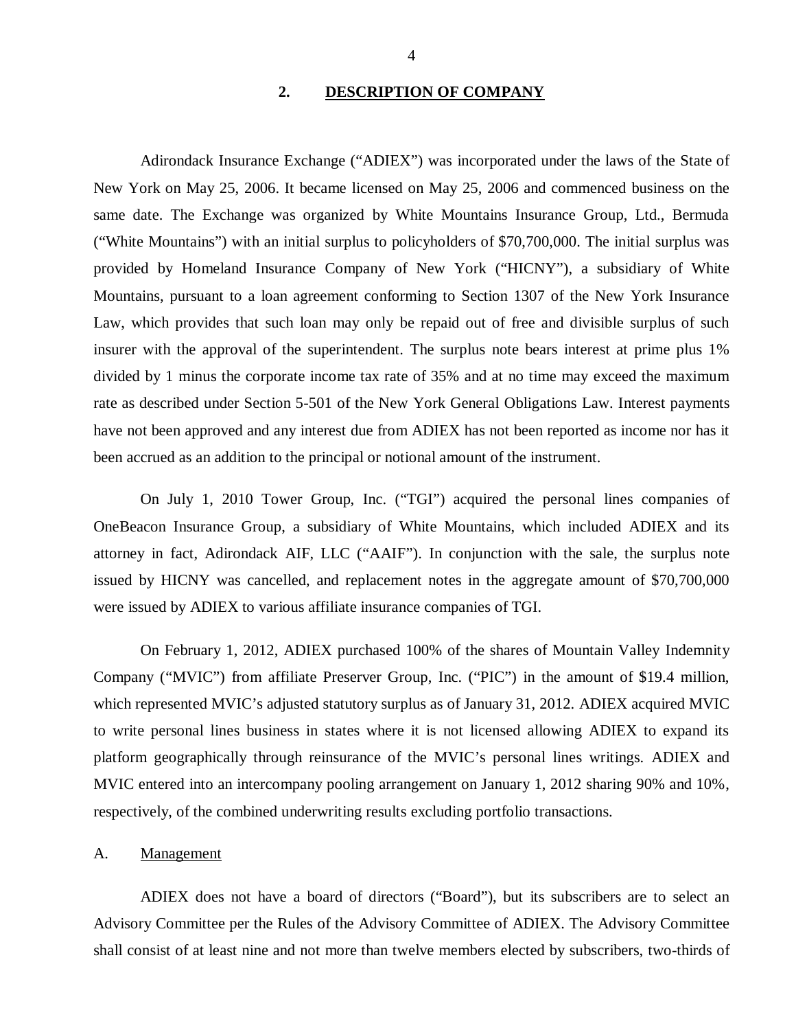## **2. DESCRIPTION OF COMPANY**

<span id="page-5-0"></span>Adirondack Insurance Exchange ("ADIEX") was incorporated under the laws of the State of New York on May 25, 2006. It became licensed on May 25, 2006 and commenced business on the same date. The Exchange was organized by White Mountains Insurance Group, Ltd., Bermuda ("White Mountains") with an initial surplus to policyholders of \$70,700,000. The initial surplus was provided by Homeland Insurance Company of New York ("HICNY"), a subsidiary of White Mountains, pursuant to a loan agreement conforming to Section 1307 of the New York Insurance Law, which provides that such loan may only be repaid out of free and divisible surplus of such insurer with the approval of the superintendent. The surplus note bears interest at prime plus 1% divided by 1 minus the corporate income tax rate of 35% and at no time may exceed the maximum rate as described under Section 5-501 of the New York General Obligations Law. Interest payments have not been approved and any interest due from ADIEX has not been reported as income nor has it been accrued as an addition to the principal or notional amount of the instrument.

On July 1, 2010 Tower Group, Inc. ("TGI") acquired the personal lines companies of OneBeacon Insurance Group, a subsidiary of White Mountains, which included ADIEX and its attorney in fact, Adirondack AIF, LLC ("AAIF"). In conjunction with the sale, the surplus note issued by HICNY was cancelled, and replacement notes in the aggregate amount of \$70,700,000 were issued by ADIEX to various affiliate insurance companies of TGI.

On February 1, 2012, ADIEX purchased 100% of the shares of Mountain Valley Indemnity Company ("MVIC") from affiliate Preserver Group, Inc. ("PIC") in the amount of \$19.4 million, which represented MVIC's adjusted statutory surplus as of January 31, 2012. ADIEX acquired MVIC to write personal lines business in states where it is not licensed allowing ADIEX to expand its platform geographically through reinsurance of the MVIC's personal lines writings. ADIEX and MVIC entered into an intercompany pooling arrangement on January 1, 2012 sharing 90% and 10%, respectively, of the combined underwriting results excluding portfolio transactions.

#### A. Management

ADIEX does not have a board of directors ("Board"), but its subscribers are to select an Advisory Committee per the Rules of the Advisory Committee of ADIEX. The Advisory Committee shall consist of at least nine and not more than twelve members elected by subscribers, two-thirds of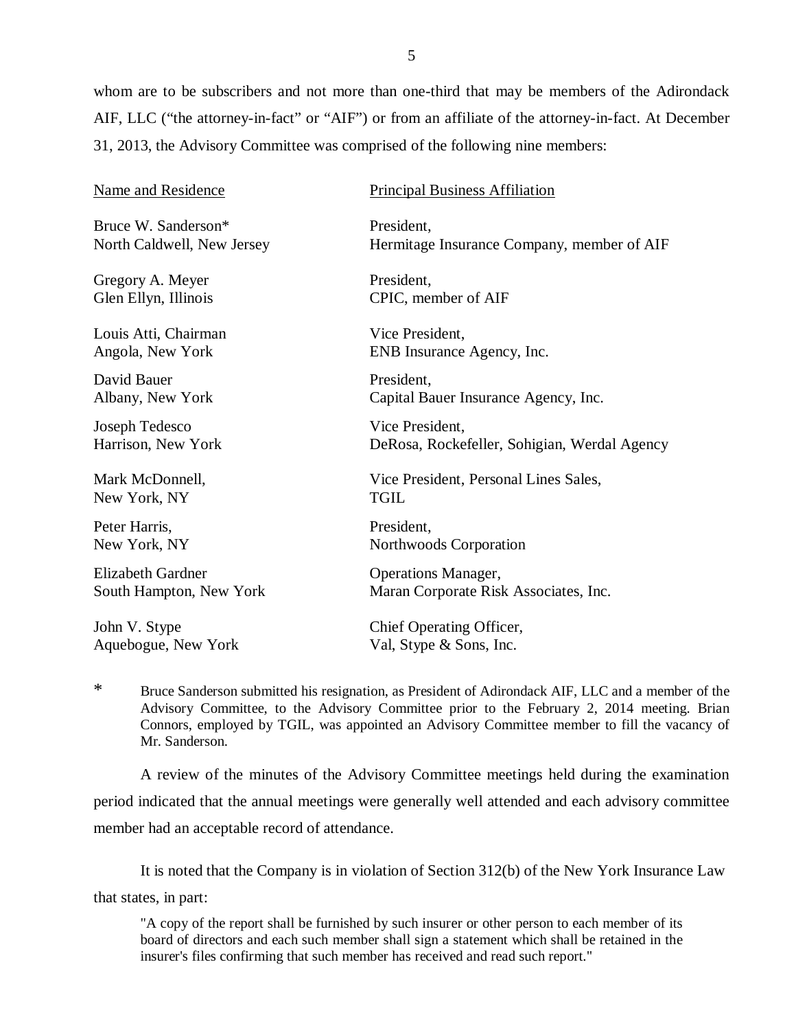whom are to be subscribers and not more than one-third that may be members of the Adirondack AIF, LLC ("the attorney-in-fact" or "AIF") or from an affiliate of the attorney-in-fact. At December 31, 2013, the Advisory Committee was comprised of the following nine members:

| <b>Name and Residence</b>  | <b>Principal Business Affiliation</b>        |
|----------------------------|----------------------------------------------|
| Bruce W. Sanderson*        | President,                                   |
| North Caldwell, New Jersey | Hermitage Insurance Company, member of AIF   |
| Gregory A. Meyer           | President,                                   |
| Glen Ellyn, Illinois       | CPIC, member of AIF                          |
| Louis Atti, Chairman       | Vice President,                              |
| Angola, New York           | ENB Insurance Agency, Inc.                   |
| David Bauer                | President,                                   |
| Albany, New York           | Capital Bauer Insurance Agency, Inc.         |
| Joseph Tedesco             | Vice President,                              |
| Harrison, New York         | DeRosa, Rockefeller, Sohigian, Werdal Agency |
| Mark McDonnell,            | Vice President, Personal Lines Sales,        |
| New York, NY               | <b>TGIL</b>                                  |
| Peter Harris,              | President,                                   |
| New York, NY               | Northwoods Corporation                       |
| <b>Elizabeth Gardner</b>   | <b>Operations Manager,</b>                   |
| South Hampton, New York    | Maran Corporate Risk Associates, Inc.        |
| John V. Stype              | Chief Operating Officer,                     |
| Aquebogue, New York        | Val, Stype & Sons, Inc.                      |

\* Bruce Sanderson submitted his resignation, as President of Adirondack AIF, LLC and a member of the Advisory Committee, to the Advisory Committee prior to the February 2, 2014 meeting. Brian Connors, employed by TGIL, was appointed an Advisory Committee member to fill the vacancy of Mr. Sanderson.

A review of the minutes of the Advisory Committee meetings held during the examination period indicated that the annual meetings were generally well attended and each advisory committee member had an acceptable record of attendance.

It is noted that the Company is in violation of Section 312(b) of the New York Insurance Law that states, in part:

"A copy of the report shall be furnished by such insurer or other person to each member of its board of directors and each such member shall sign a statement which shall be retained in the insurer's files confirming that such member has received and read such report."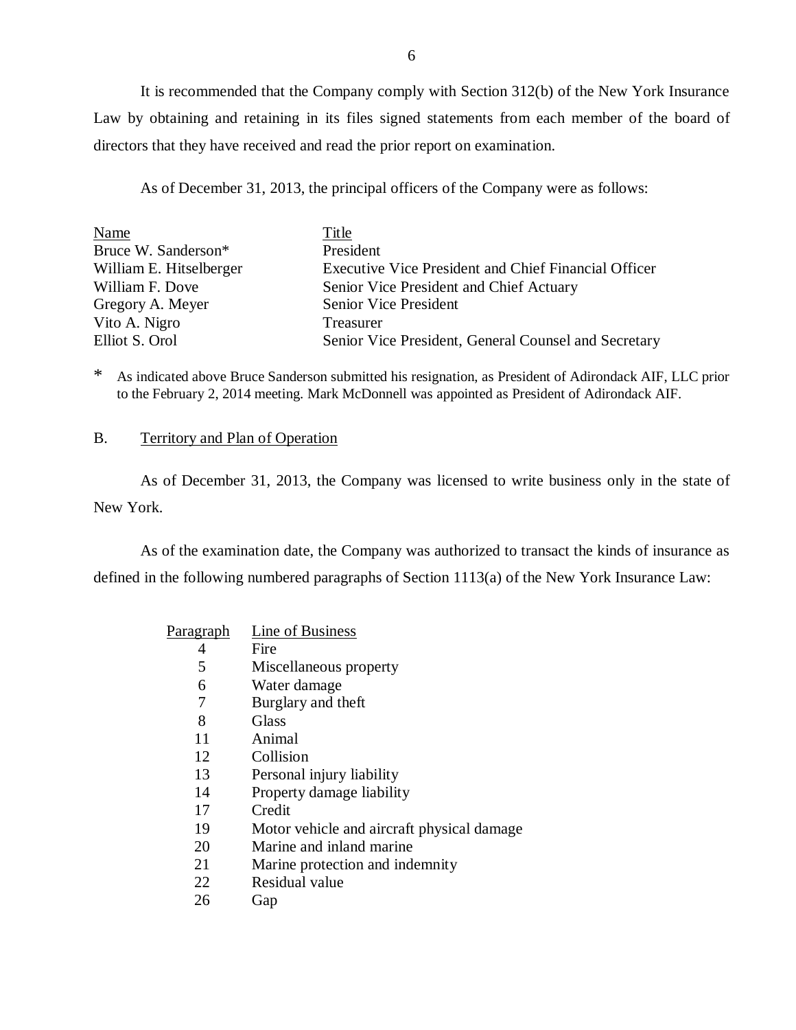<span id="page-7-0"></span>It is recommended that the Company comply with Section 312(b) of the New York Insurance Law by obtaining and retaining in its files signed statements from each member of the board of directors that they have received and read the prior report on examination.

As of December 31, 2013, the principal officers of the Company were as follows:

| Name                    | Title                                                       |
|-------------------------|-------------------------------------------------------------|
| Bruce W. Sanderson*     | President                                                   |
| William E. Hitselberger | <b>Executive Vice President and Chief Financial Officer</b> |
| William F. Dove         | Senior Vice President and Chief Actuary                     |
| Gregory A. Meyer        | <b>Senior Vice President</b>                                |
| Vito A. Nigro           | <b>Treasurer</b>                                            |
| Elliot S. Orol          | Senior Vice President, General Counsel and Secretary        |

\* As indicated above Bruce Sanderson submitted his resignation, as President of Adirondack AIF, LLC prior to the February 2, 2014 meeting. Mark McDonnell was appointed as President of Adirondack AIF.

## B. Territory and Plan of Operation

As of December 31, 2013, the Company was licensed to write business only in the state of New York.

As of the examination date, the Company was authorized to transact the kinds of insurance as defined in the following numbered paragraphs of Section 1113(a) of the New York Insurance Law:

| <u>Paragraph</u> | Line of Business                           |
|------------------|--------------------------------------------|
| 4                | Fire                                       |
| 5                | Miscellaneous property                     |
| 6                | Water damage                               |
| 7                | Burglary and theft                         |
| 8                | Glass                                      |
| 11               | Animal                                     |
| 12               | Collision                                  |
| 13               | Personal injury liability                  |
| 14               | Property damage liability                  |
| 17               | Credit                                     |
| 19               | Motor vehicle and aircraft physical damage |
| 20               | Marine and inland marine                   |
| 21               | Marine protection and indemnity            |
| 22               | Residual value                             |
| 26               | Gap                                        |
|                  |                                            |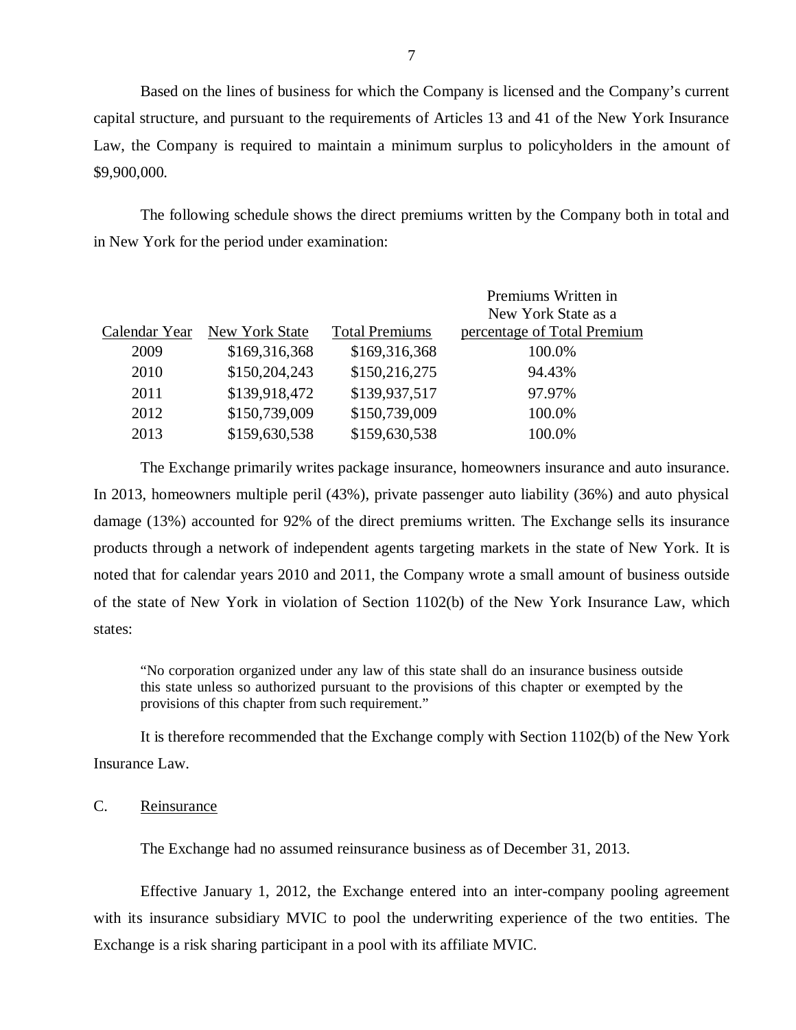Based on the lines of business for which the Company is licensed and the Company's current capital structure, and pursuant to the requirements of Articles 13 and 41 of the New York Insurance Law, the Company is required to maintain a minimum surplus to policyholders in the amount of \$9,900,000.

The following schedule shows the direct premiums written by the Company both in total and in New York for the period under examination:

|               |                |                       | Premiums Written in         |
|---------------|----------------|-----------------------|-----------------------------|
|               |                |                       | New York State as a         |
| Calendar Year | New York State | <b>Total Premiums</b> | percentage of Total Premium |
| 2009          | \$169,316,368  | \$169,316,368         | 100.0%                      |
| 2010          | \$150,204,243  | \$150,216,275         | 94.43%                      |
| 2011          | \$139,918,472  | \$139,937,517         | 97.97%                      |
| 2012          | \$150,739,009  | \$150,739,009         | 100.0%                      |
| 2013          | \$159,630,538  | \$159,630,538         | 100.0%                      |

The Exchange primarily writes package insurance, homeowners insurance and auto insurance. In 2013, homeowners multiple peril (43%), private passenger auto liability (36%) and auto physical damage (13%) accounted for 92% of the direct premiums written. The Exchange sells its insurance products through a network of independent agents targeting markets in the state of New York. It is noted that for calendar years 2010 and 2011, the Company wrote a small amount of business outside of the state of New York in violation of Section 1102(b) of the New York Insurance Law, which states:

"No corporation organized under any law of this state shall do an insurance business outside this state unless so authorized pursuant to the provisions of this chapter or exempted by the provisions of this chapter from such requirement."

It is therefore recommended that the Exchange comply with Section 1102(b) of the New York Insurance Law.

#### C. Reinsurance

The Exchange had no assumed reinsurance business as of December 31, 2013.

Effective January 1, 2012, the Exchange entered into an inter-company pooling agreement with its insurance subsidiary MVIC to pool the underwriting experience of the two entities. The Exchange is a risk sharing participant in a pool with its affiliate MVIC.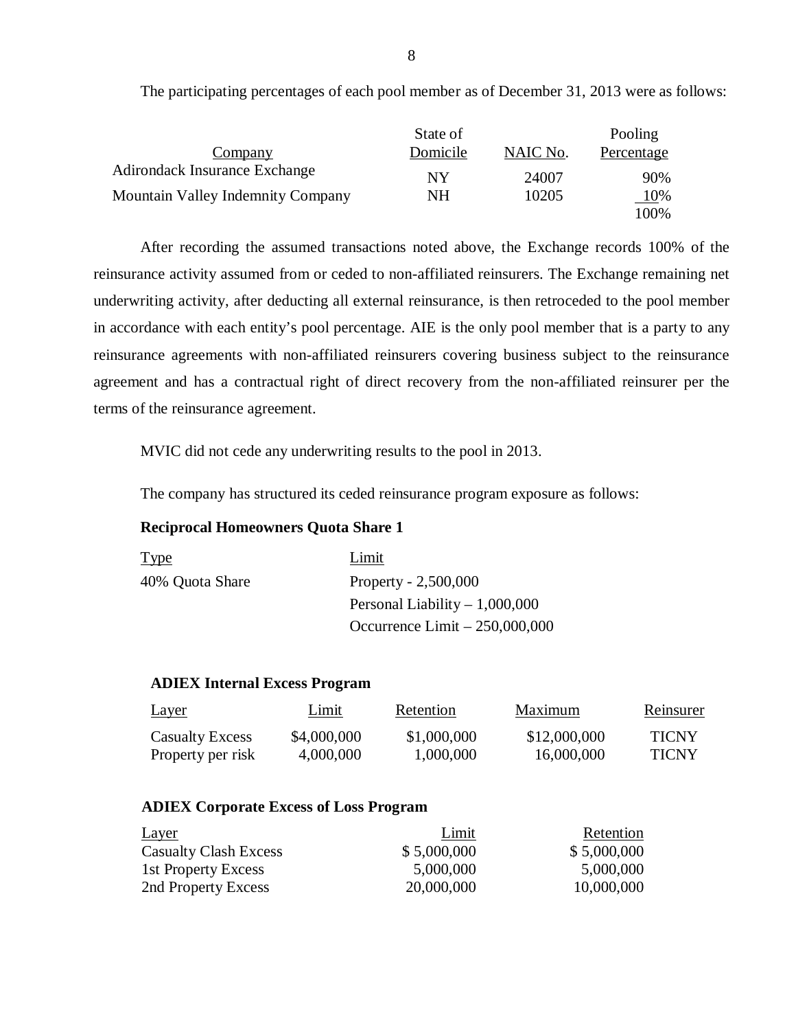|                                      | State of |          | Pooling           |
|--------------------------------------|----------|----------|-------------------|
| <b>Company</b>                       | Domicile | NAIC No. | <b>Percentage</b> |
| <b>Adirondack Insurance Exchange</b> | NY       | 24007    | 90%               |
| Mountain Valley Indemnity Company    | NH       | 10205    | 10%               |
|                                      |          |          | 100%              |

The participating percentages of each pool member as of December 31, 2013 were as follows:

After recording the assumed transactions noted above, the Exchange records 100% of the reinsurance activity assumed from or ceded to non-affiliated reinsurers. The Exchange remaining net underwriting activity, after deducting all external reinsurance, is then retroceded to the pool member in accordance with each entity's pool percentage. AIE is the only pool member that is a party to any reinsurance agreements with non-affiliated reinsurers covering business subject to the reinsurance agreement and has a contractual right of direct recovery from the non-affiliated reinsurer per the terms of the reinsurance agreement.

MVIC did not cede any underwriting results to the pool in 2013.

The company has structured its ceded reinsurance program exposure as follows:

## **Reciprocal Homeowners Quota Share 1**

| <b>Type</b>     | Limit                           |
|-----------------|---------------------------------|
| 40% Quota Share | Property - $2,500,000$          |
|                 | Personal Liability $-1,000,000$ |
|                 | Occurrence Limit $-250,000,000$ |

## **ADIEX Internal Excess Program**

| <u>Layer</u>           | Limit       | Retention   | Maximum      | Reinsurer    |
|------------------------|-------------|-------------|--------------|--------------|
| <b>Casualty Excess</b> | \$4,000,000 | \$1,000,000 | \$12,000,000 | <b>TICNY</b> |
| Property per risk      | 4,000,000   | 1,000,000   | 16,000,000   | <b>TICNY</b> |

#### **ADIEX Corporate Excess of Loss Program**

| <b>Layer</b>                 | Limit       | Retention   |
|------------------------------|-------------|-------------|
| <b>Casualty Clash Excess</b> | \$5,000,000 | \$5,000,000 |
| 1st Property Excess          | 5,000,000   | 5,000,000   |
| 2nd Property Excess          | 20,000,000  | 10,000,000  |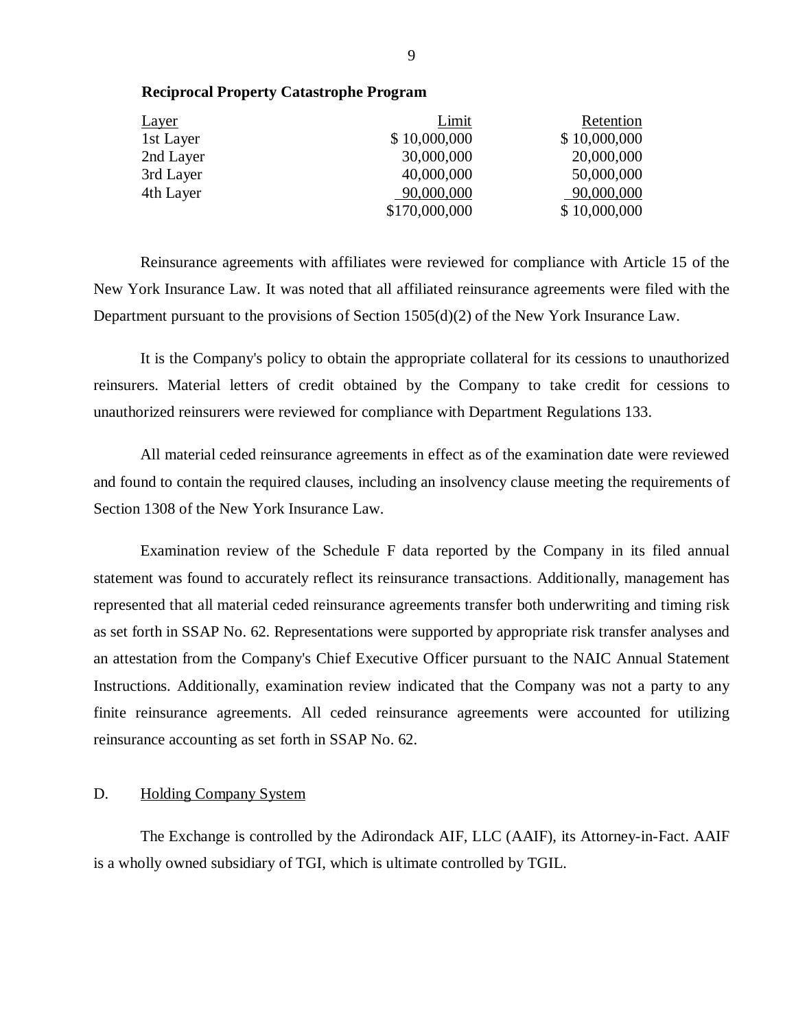| <b>Layer</b> | Limit         | Retention    |
|--------------|---------------|--------------|
| 1st Layer    | \$10,000,000  | \$10,000,000 |
| 2nd Layer    | 30,000,000    | 20,000,000   |
| 3rd Layer    | 40,000,000    | 50,000,000   |
| 4th Layer    | 90,000,000    | 90,000,000   |
|              | \$170,000,000 | \$10,000,000 |

Reinsurance agreements with affiliates were reviewed for compliance with Article 15 of the New York Insurance Law. It was noted that all affiliated reinsurance agreements were filed with the Department pursuant to the provisions of Section 1505(d)(2) of the New York Insurance Law.

It is the Company's policy to obtain the appropriate collateral for its cessions to unauthorized reinsurers. Material letters of credit obtained by the Company to take credit for cessions to unauthorized reinsurers were reviewed for compliance with Department Regulations 133.

All material ceded reinsurance agreements in effect as of the examination date were reviewed and found to contain the required clauses, including an insolvency clause meeting the requirements of Section 1308 of the New York Insurance Law.

Examination review of the Schedule F data reported by the Company in its filed annual statement was found to accurately reflect its reinsurance transactions. Additionally, management has represented that all material ceded reinsurance agreements transfer both underwriting and timing risk as set forth in SSAP No. 62. Representations were supported by appropriate risk transfer analyses and an attestation from the Company's Chief Executive Officer pursuant to the NAIC Annual Statement Instructions. Additionally, examination review indicated that the Company was not a party to any finite reinsurance agreements. All ceded reinsurance agreements were accounted for utilizing reinsurance accounting as set forth in SSAP No. 62.

## D. Holding Company System

The Exchange is controlled by the Adirondack AIF, LLC (AAIF), its Attorney-in-Fact. AAIF is a wholly owned subsidiary of TGI, which is ultimate controlled by TGIL.

#### **Reciprocal Property Catastrophe Program**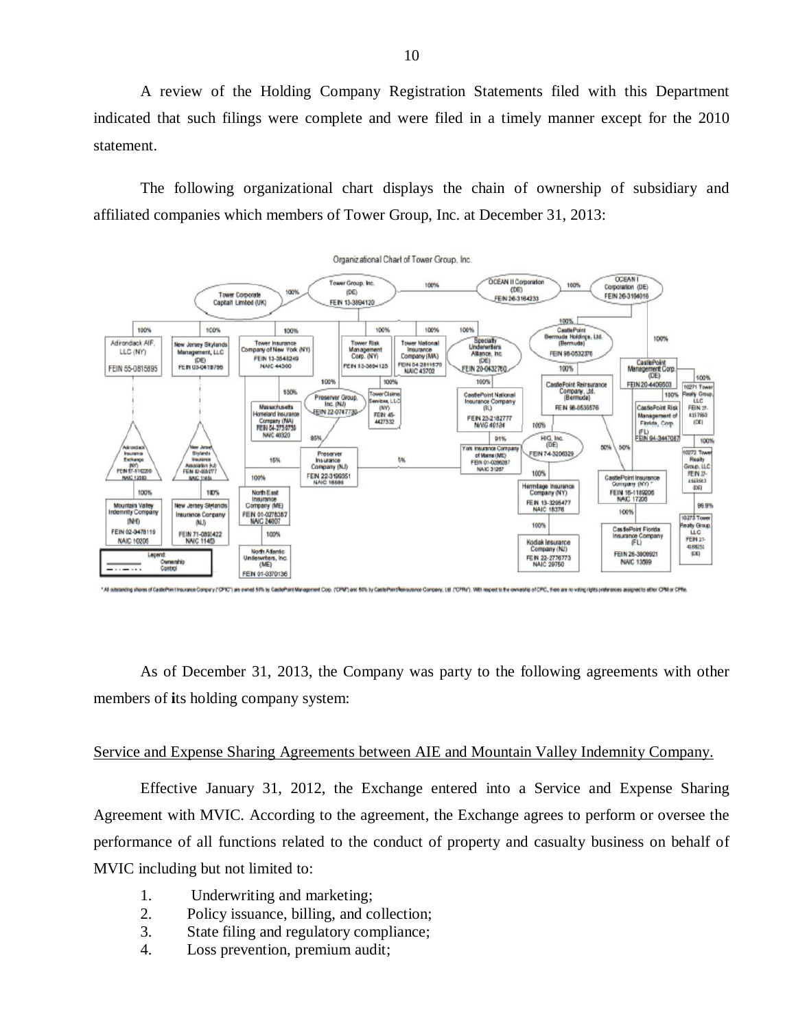A review of the Holding Company Registration Statements filed with this Department indicated that such filings were complete and were filed in a timely manner except for the 2010 statement.

The following organizational chart displays the chain of ownership of subsidiary and affiliated companies which members of Tower Group, Inc. at December 31, 2013:



As of December 31, 2013, the Company was party to the following agreements with other members of **i**ts holding company system:

#### Service and Expense Sharing Agreements between AIE and Mountain Valley Indemnity Company.

Effective January 31, 2012, the Exchange entered into a Service and Expense Sharing Agreement with MVIC. According to the agreement, the Exchange agrees to perform or oversee the performance of all functions related to the conduct of property and casualty business on behalf of MVIC including but not limited to:

- 1. Underwriting and marketing;
- 2. Policy issuance, billing, and collection;
- 3. State filing and regulatory compliance;
- 4. Loss prevention, premium audit;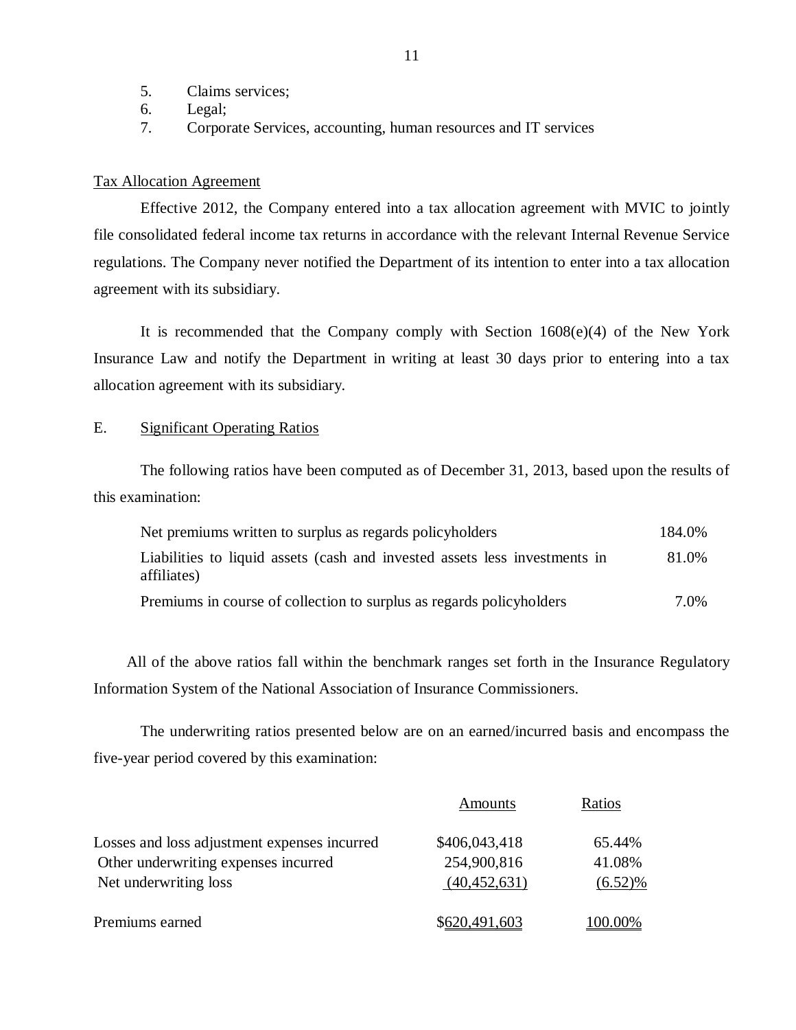- <span id="page-12-0"></span>5. Claims services;
- 6. Legal;
- 7. Corporate Services, accounting, human resources and IT services

#### Tax Allocation Agreement

Effective 2012, the Company entered into a tax allocation agreement with MVIC to jointly file consolidated federal income tax returns in accordance with the relevant Internal Revenue Service regulations. The Company never notified the Department of its intention to enter into a tax allocation agreement with its subsidiary.

It is recommended that the Company comply with Section 1608(e)(4) of the New York Insurance Law and notify the Department in writing at least 30 days prior to entering into a tax allocation agreement with its subsidiary.

## E. Significant Operating Ratios

The following ratios have been computed as of December 31, 2013, based upon the results of this examination:

| Net premiums written to surplus as regards policyholders                                  | 184.0% |
|-------------------------------------------------------------------------------------------|--------|
| Liabilities to liquid assets (cash and invested assets less investments in<br>affiliates) | 81.0%  |
| Premiums in course of collection to surplus as regards policyholders                      | 7.0%   |

All of the above ratios fall within the benchmark ranges set forth in the Insurance Regulatory Information System of the National Association of Insurance Commissioners.

The underwriting ratios presented below are on an earned/incurred basis and encompass the five-year period covered by this examination:

|                                              | Amounts        | Ratios     |
|----------------------------------------------|----------------|------------|
| Losses and loss adjustment expenses incurred | \$406,043,418  | 65.44%     |
| Other underwriting expenses incurred         | 254,900,816    | 41.08%     |
| Net underwriting loss                        | (40, 452, 631) | $(6.52)\%$ |
| Premiums earned                              | \$620,491,603  | $(00.00\%$ |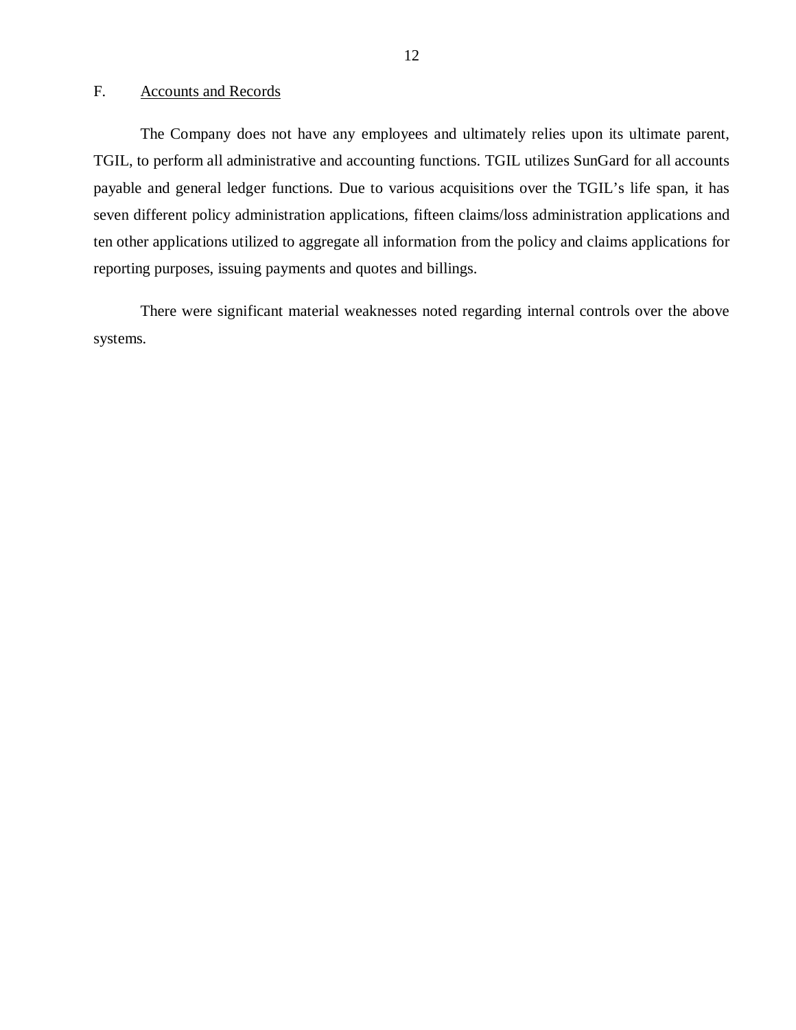## <span id="page-13-0"></span>F. Accounts and Records

The Company does not have any employees and ultimately relies upon its ultimate parent, TGIL, to perform all administrative and accounting functions. TGIL utilizes SunGard for all accounts payable and general ledger functions. Due to various acquisitions over the TGIL's life span, it has seven different policy administration applications, fifteen claims/loss administration applications and ten other applications utilized to aggregate all information from the policy and claims applications for reporting purposes, issuing payments and quotes and billings.

There were significant material weaknesses noted regarding internal controls over the above systems.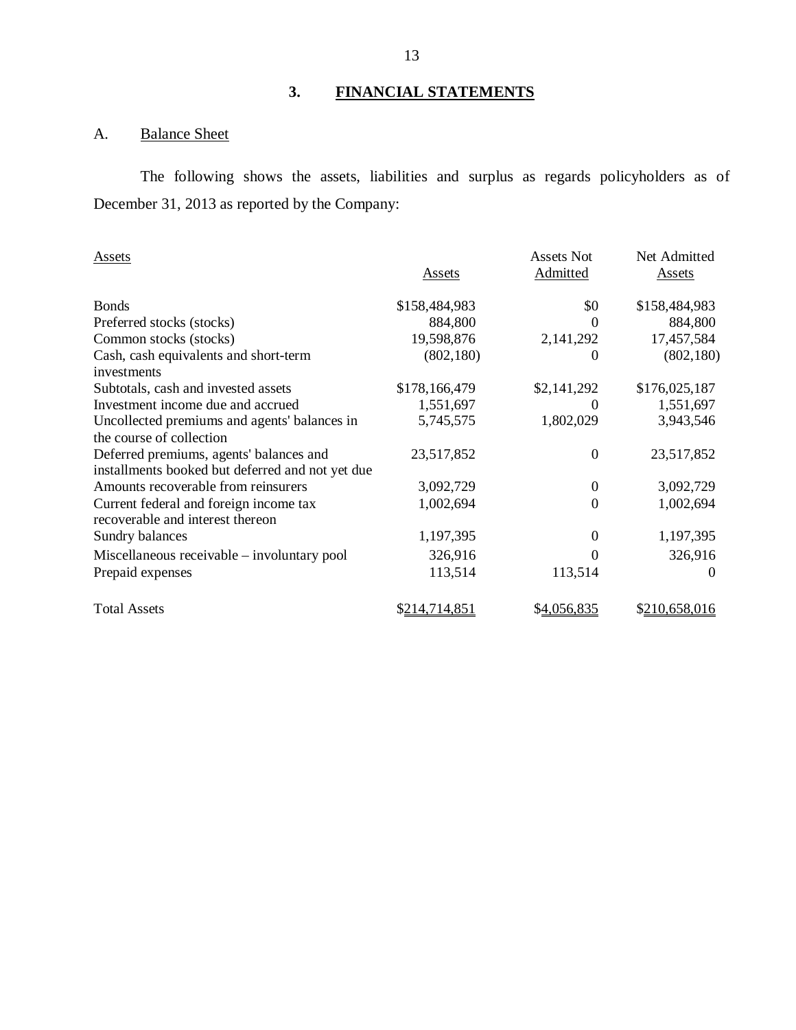## **3. FINANCIAL STATEMENTS**

## A. Balance Sheet

The following shows the assets, liabilities and surplus as regards policyholders as of December 31, 2013 as reported by the Company:

| Assets                                           |               | Assets Not       | Net Admitted  |
|--------------------------------------------------|---------------|------------------|---------------|
|                                                  | <b>Assets</b> | Admitted         | <b>Assets</b> |
| <b>Bonds</b>                                     | \$158,484,983 | \$0              | \$158,484,983 |
| Preferred stocks (stocks)                        | 884,800       | 0                | 884,800       |
| Common stocks (stocks)                           | 19,598,876    | 2,141,292        | 17,457,584    |
| Cash, cash equivalents and short-term            | (802, 180)    | 0                | (802, 180)    |
| investments                                      |               |                  |               |
| Subtotals, cash and invested assets              | \$178,166,479 | \$2,141,292      | \$176,025,187 |
| Investment income due and accrued                | 1,551,697     | 0                | 1,551,697     |
| Uncollected premiums and agents' balances in     | 5,745,575     | 1,802,029        | 3,943,546     |
| the course of collection                         |               |                  |               |
| Deferred premiums, agents' balances and          | 23,517,852    | $\boldsymbol{0}$ | 23,517,852    |
| installments booked but deferred and not yet due |               |                  |               |
| Amounts recoverable from reinsurers              | 3,092,729     | $\theta$         | 3,092,729     |
| Current federal and foreign income tax           | 1,002,694     | $\theta$         | 1,002,694     |
| recoverable and interest thereon                 |               |                  |               |
| Sundry balances                                  | 1,197,395     | $\theta$         | 1,197,395     |
| Miscellaneous receivable – involuntary pool      | 326,916       | 0                | 326,916       |
| Prepaid expenses                                 | 113,514       | 113,514          | $\Omega$      |
| <b>Total Assets</b>                              | \$214,714,851 | \$4,056,835      | \$210,658,016 |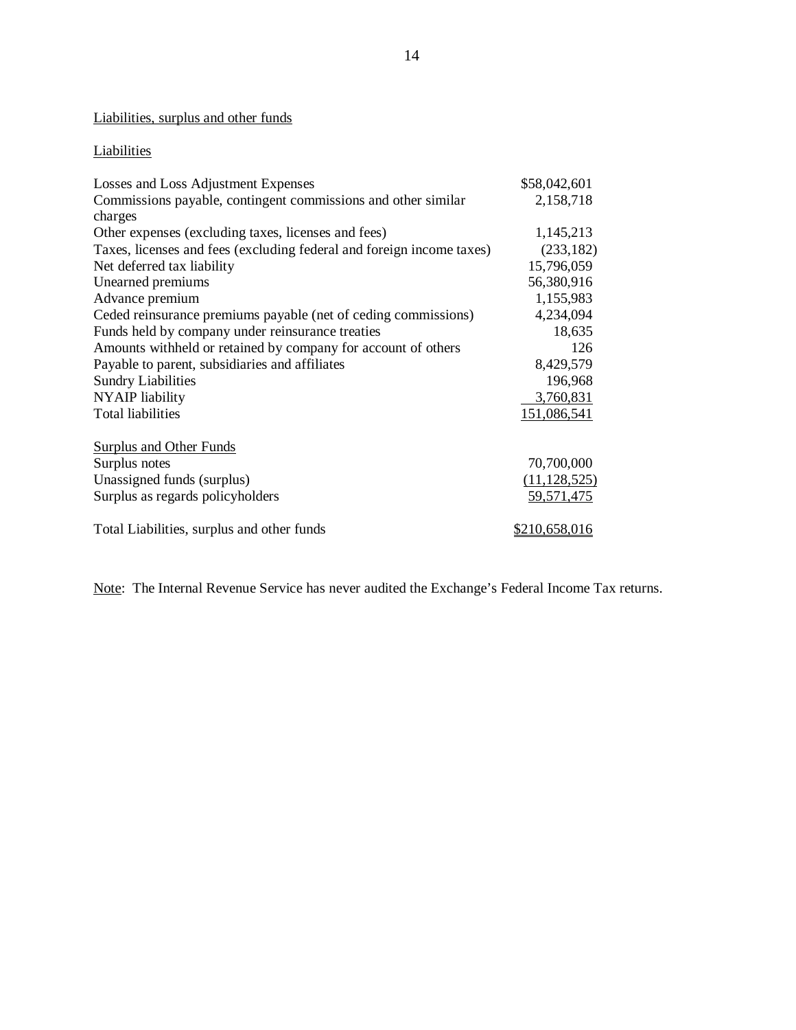## Liabilities, surplus and other funds

## **Liabilities**

| Losses and Loss Adjustment Expenses                                   | \$58,042,601   |
|-----------------------------------------------------------------------|----------------|
| Commissions payable, contingent commissions and other similar         | 2,158,718      |
| charges                                                               |                |
| Other expenses (excluding taxes, licenses and fees)                   | 1,145,213      |
| Taxes, licenses and fees (excluding federal and foreign income taxes) | (233, 182)     |
| Net deferred tax liability                                            | 15,796,059     |
| Unearned premiums                                                     | 56,380,916     |
| Advance premium                                                       | 1,155,983      |
| Ceded reinsurance premiums payable (net of ceding commissions)        | 4,234,094      |
| Funds held by company under reinsurance treaties                      | 18,635         |
| Amounts withheld or retained by company for account of others         | 126            |
| Payable to parent, subsidiaries and affiliates                        | 8,429,579      |
| <b>Sundry Liabilities</b>                                             | 196,968        |
| <b>NYAIP</b> liability                                                | 3,760,831      |
| <b>Total liabilities</b>                                              | 151,086,541    |
| <b>Surplus and Other Funds</b>                                        |                |
| Surplus notes                                                         | 70,700,000     |
| Unassigned funds (surplus)                                            | (11, 128, 525) |
| Surplus as regards policyholders                                      | 59,571,475     |
| Total Liabilities, surplus and other funds                            | \$210,658,016  |

Note: The Internal Revenue Service has never audited the Exchange's Federal Income Tax returns.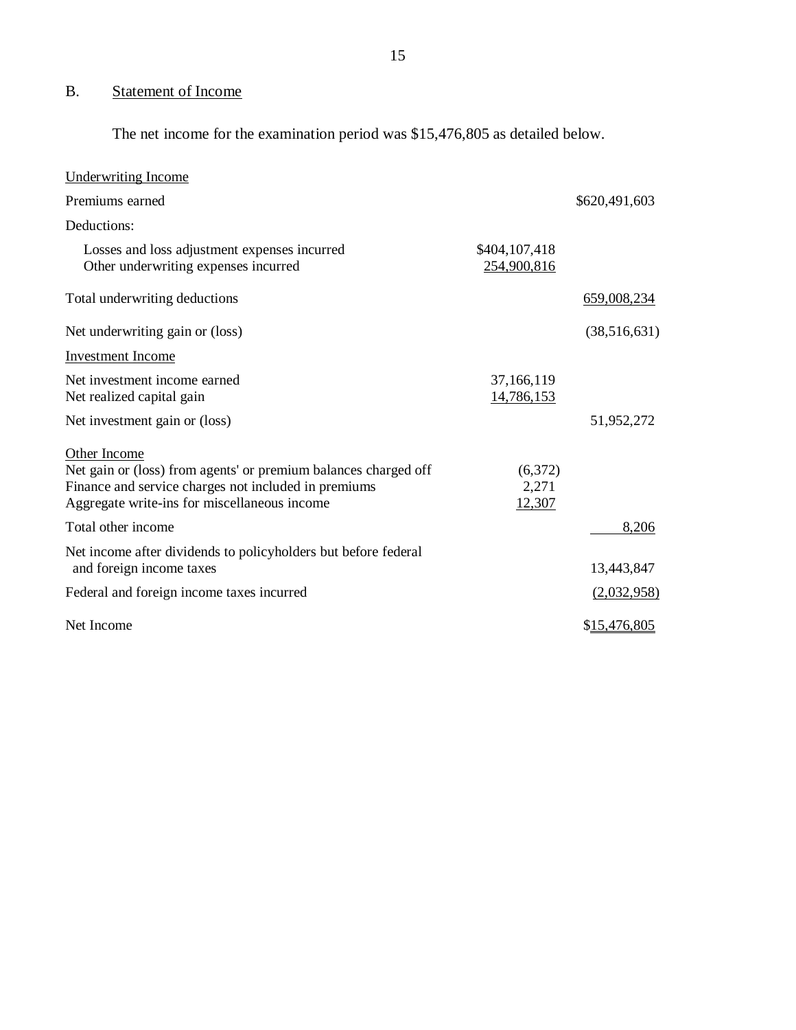## B. Statement of Income

The net income for the examination period was \$15,476,805 as detailed below.

| <b>Underwriting Income</b>                                                                                                                                                              |                              |               |
|-----------------------------------------------------------------------------------------------------------------------------------------------------------------------------------------|------------------------------|---------------|
| Premiums earned                                                                                                                                                                         |                              | \$620,491,603 |
| Deductions:                                                                                                                                                                             |                              |               |
| Losses and loss adjustment expenses incurred<br>Other underwriting expenses incurred                                                                                                    | \$404,107,418<br>254,900,816 |               |
| Total underwriting deductions                                                                                                                                                           |                              | 659,008,234   |
| Net underwriting gain or (loss)                                                                                                                                                         |                              | (38,516,631)  |
| <b>Investment Income</b>                                                                                                                                                                |                              |               |
| Net investment income earned<br>Net realized capital gain                                                                                                                               | 37,166,119<br>14,786,153     |               |
| Net investment gain or (loss)                                                                                                                                                           |                              | 51,952,272    |
| Other Income<br>Net gain or (loss) from agents' or premium balances charged off<br>Finance and service charges not included in premiums<br>Aggregate write-ins for miscellaneous income | (6,372)<br>2,271<br>12,307   |               |
| Total other income                                                                                                                                                                      |                              | 8,206         |
| Net income after dividends to policyholders but before federal<br>and foreign income taxes                                                                                              |                              | 13,443,847    |
| Federal and foreign income taxes incurred                                                                                                                                               |                              | (2,032,958)   |
| Net Income                                                                                                                                                                              |                              | \$15,476,805  |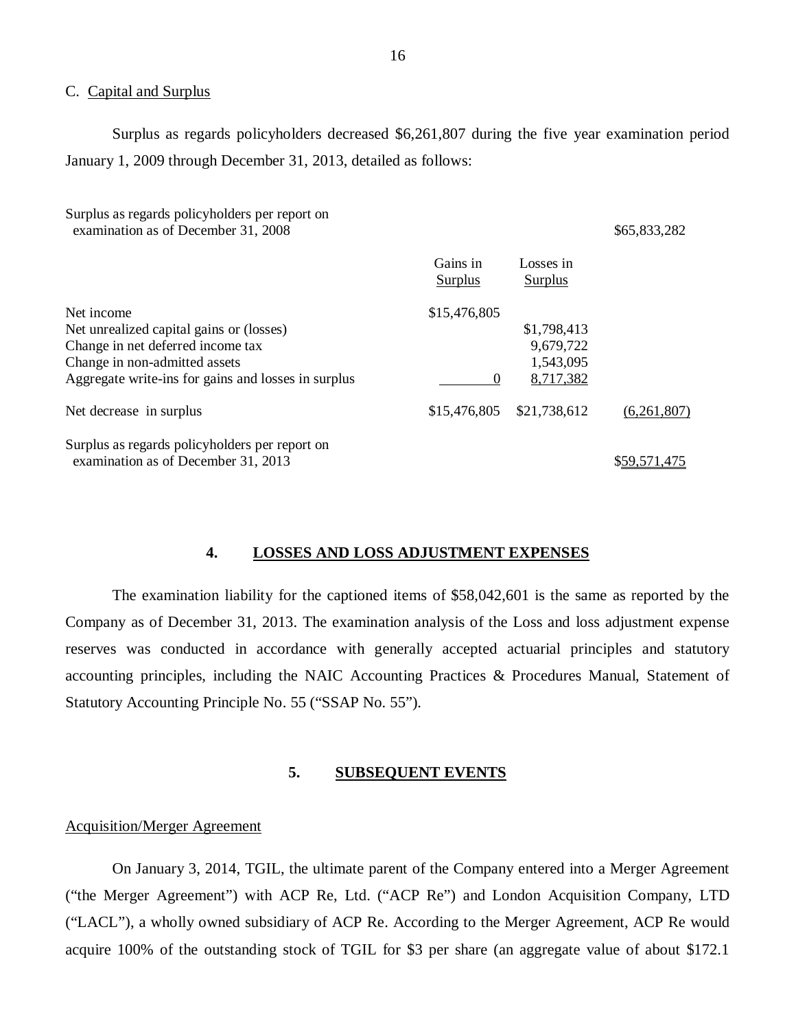#### C. Capital and Surplus

Surplus as regards policyholders decreased \$6,261,807 during the five year examination period January 1, 2009 through December 31, 2013, detailed as follows:

| Surplus as regards policyholders per report on<br>examination as of December 31, 2008 |                     |                             | \$65,833,282 |
|---------------------------------------------------------------------------------------|---------------------|-----------------------------|--------------|
|                                                                                       | Gains in<br>Surplus | Losses in<br><b>Surplus</b> |              |
| Net income                                                                            | \$15,476,805        |                             |              |
| Net unrealized capital gains or (losses)                                              |                     | \$1,798,413                 |              |
| Change in net deferred income tax                                                     |                     | 9,679,722                   |              |
| Change in non-admitted assets                                                         |                     | 1,543,095                   |              |
| Aggregate write-ins for gains and losses in surplus                                   | $\Omega$            | 8,717,382                   |              |
| Net decrease in surplus                                                               | \$15,476,805        | \$21,738,612                | (6,261,807)  |
| Surplus as regards policyholders per report on<br>examination as of December 31, 2013 |                     |                             | \$59,571,475 |

#### **4. LOSSES AND LOSS ADJUSTMENT EXPENSES**

The examination liability for the captioned items of \$58,042,601 is the same as reported by the Company as of December 31, 2013. The examination analysis of the Loss and loss adjustment expense reserves was conducted in accordance with generally accepted actuarial principles and statutory accounting principles, including the NAIC Accounting Practices & Procedures Manual, Statement of Statutory Accounting Principle No. 55 ("SSAP No. 55").

#### **5. SUBSEQUENT EVENTS**

#### Acquisition/Merger Agreement

On January 3, 2014, TGIL, the ultimate parent of the Company entered into a Merger Agreement ("the Merger Agreement") with ACP Re, Ltd. ("ACP Re") and London Acquisition Company, LTD ("LACL"), a wholly owned subsidiary of ACP Re. According to the Merger Agreement, ACP Re would acquire 100% of the outstanding stock of TGIL for \$3 per share (an aggregate value of about \$172.1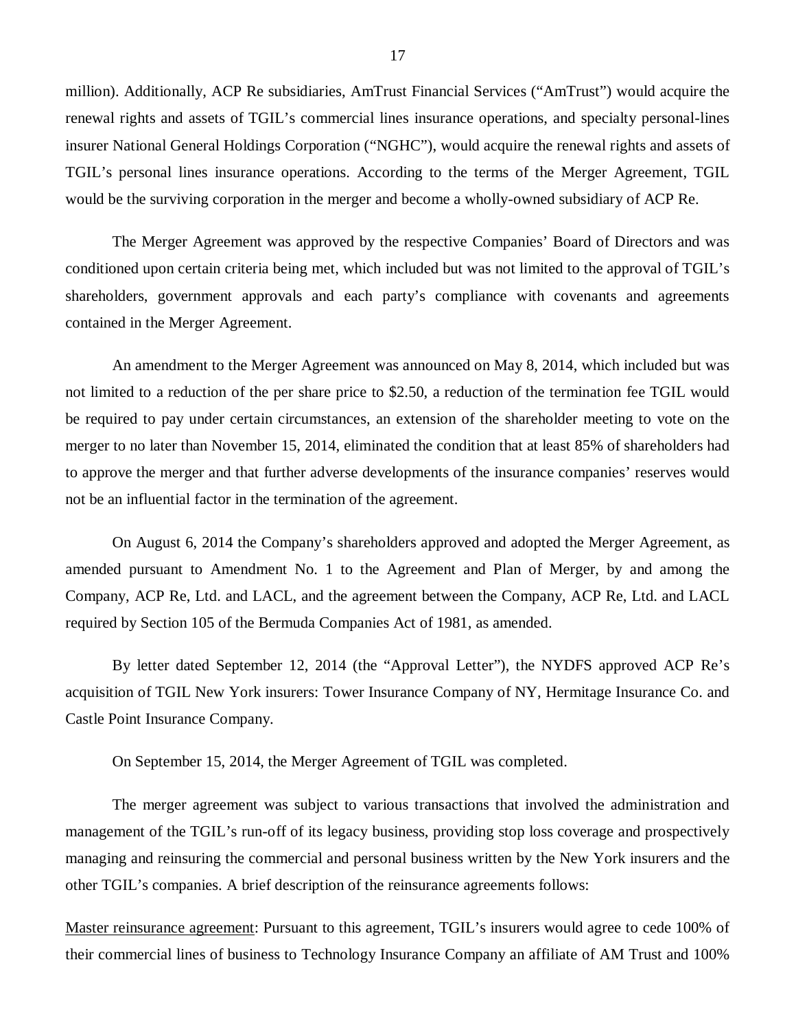million). Additionally, ACP Re subsidiaries, AmTrust Financial Services ("AmTrust") would acquire the renewal rights and assets of TGIL's commercial lines insurance operations, and specialty personal-lines insurer National General Holdings Corporation ("NGHC"), would acquire the renewal rights and assets of TGIL's personal lines insurance operations. According to the terms of the Merger Agreement, TGIL would be the surviving corporation in the merger and become a wholly-owned subsidiary of ACP Re.

The Merger Agreement was approved by the respective Companies' Board of Directors and was conditioned upon certain criteria being met, which included but was not limited to the approval of TGIL's shareholders, government approvals and each party's compliance with covenants and agreements contained in the Merger Agreement.

An amendment to the Merger Agreement was announced on May 8, 2014, which included but was not limited to a reduction of the per share price to \$2.50, a reduction of the termination fee TGIL would be required to pay under certain circumstances, an extension of the shareholder meeting to vote on the merger to no later than November 15, 2014, eliminated the condition that at least 85% of shareholders had to approve the merger and that further adverse developments of the insurance companies' reserves would not be an influential factor in the termination of the agreement.

On August 6, 2014 the Company's shareholders approved and adopted the Merger Agreement, as amended pursuant to Amendment No. 1 to the Agreement and Plan of Merger, by and among the Company, ACP Re, Ltd. and LACL, and the agreement between the Company, ACP Re, Ltd. and LACL required by Section 105 of the Bermuda Companies Act of 1981, as amended.

By letter dated September 12, 2014 (the "Approval Letter"), the NYDFS approved ACP Re's acquisition of TGIL New York insurers: Tower Insurance Company of NY, Hermitage Insurance Co. and Castle Point Insurance Company.

On September 15, 2014, the Merger Agreement of TGIL was completed.

The merger agreement was subject to various transactions that involved the administration and management of the TGIL's run-off of its legacy business, providing stop loss coverage and prospectively managing and reinsuring the commercial and personal business written by the New York insurers and the other TGIL's companies. A brief description of the reinsurance agreements follows:

Master reinsurance agreement: Pursuant to this agreement, TGIL's insurers would agree to cede 100% of their commercial lines of business to Technology Insurance Company an affiliate of AM Trust and 100%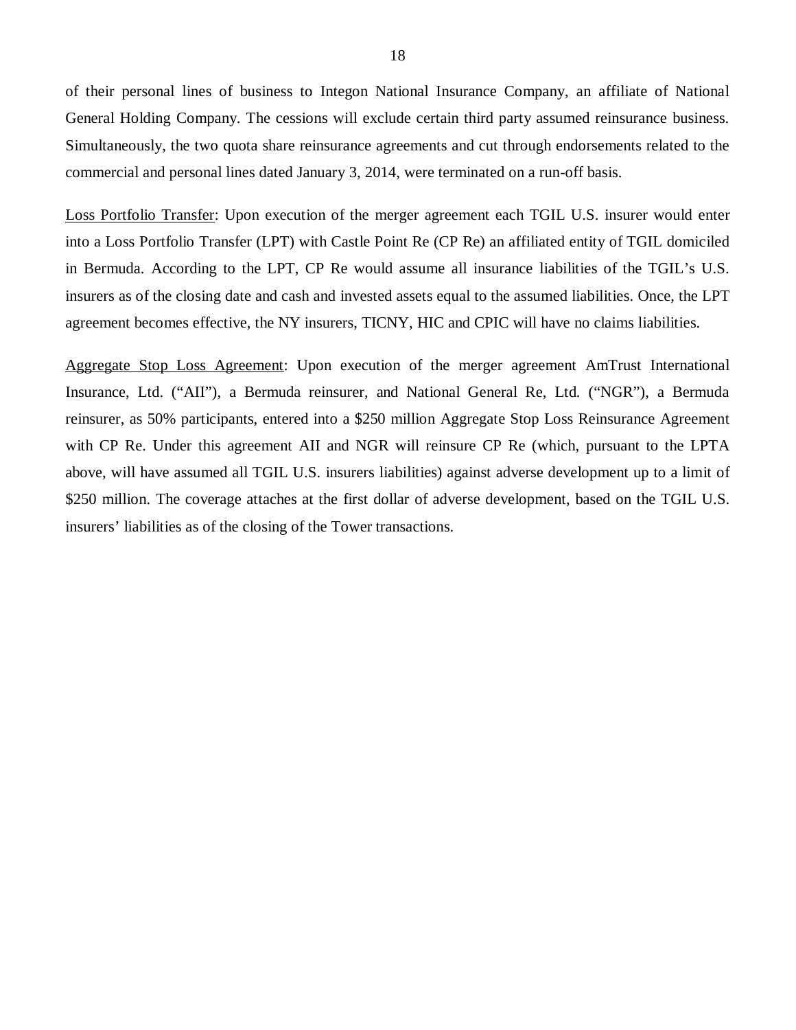of their personal lines of business to Integon National Insurance Company, an affiliate of National General Holding Company. The cessions will exclude certain third party assumed reinsurance business. Simultaneously, the two quota share reinsurance agreements and cut through endorsements related to the commercial and personal lines dated January 3, 2014, were terminated on a run-off basis.

Loss Portfolio Transfer: Upon execution of the merger agreement each TGIL U.S. insurer would enter into a Loss Portfolio Transfer (LPT) with Castle Point Re (CP Re) an affiliated entity of TGIL domiciled in Bermuda. According to the LPT, CP Re would assume all insurance liabilities of the TGIL's U.S. insurers as of the closing date and cash and invested assets equal to the assumed liabilities. Once, the LPT agreement becomes effective, the NY insurers, TICNY, HIC and CPIC will have no claims liabilities.

Aggregate Stop Loss Agreement: Upon execution of the merger agreement AmTrust International Insurance, Ltd. ("AII"), a Bermuda reinsurer, and National General Re, Ltd. ("NGR"), a Bermuda reinsurer, as 50% participants, entered into a \$250 million Aggregate Stop Loss Reinsurance Agreement with CP Re. Under this agreement AII and NGR will reinsure CP Re (which, pursuant to the LPTA above, will have assumed all TGIL U.S. insurers liabilities) against adverse development up to a limit of \$250 million. The coverage attaches at the first dollar of adverse development, based on the TGIL U.S. insurers' liabilities as of the closing of the Tower transactions.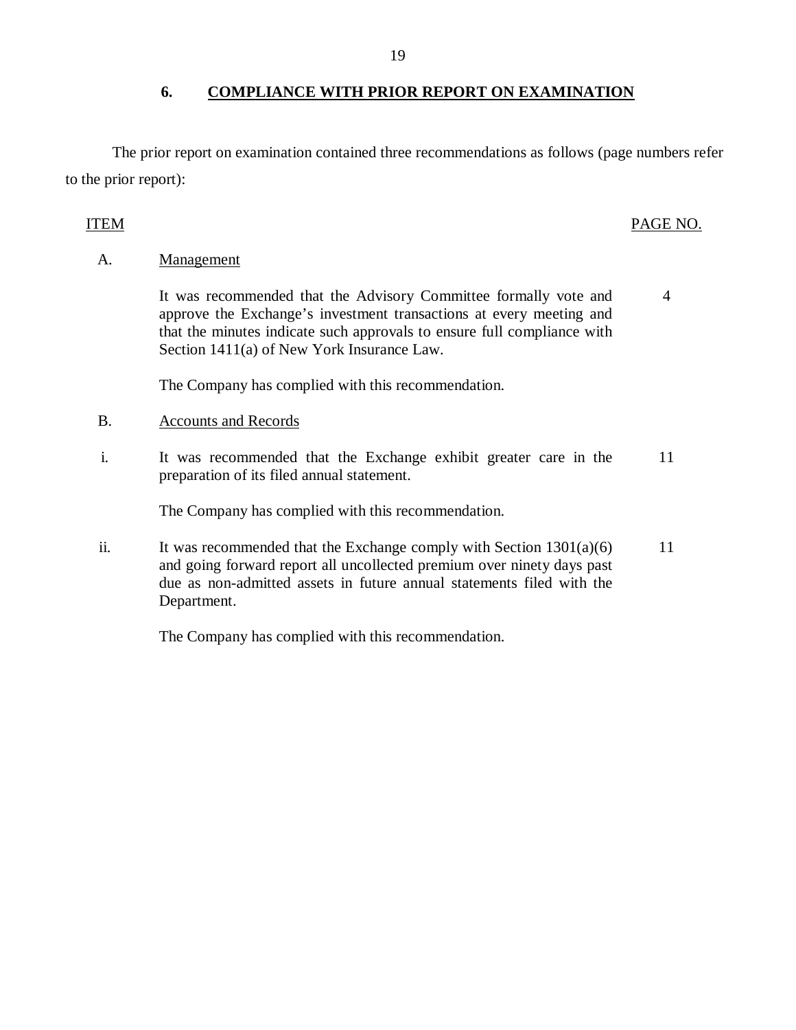The prior report on examination contained three recommendations as follows (page numbers refer to the prior report):

## ITEM PAGE NO.

4

A. Management

It was recommended that the Advisory Committee formally vote and approve the Exchange's investment transactions at every meeting and that the minutes indicate such approvals to ensure full compliance with Section 1411(a) of New York Insurance Law.

The Company has complied with this recommendation.

- B. Accounts and Records
- i. It was recommended that the Exchange exhibit greater care in the 11 preparation of its filed annual statement.

The Company has complied with this recommendation.

ii. It was recommended that the Exchange comply with Section  $1301(a)(6)$ and going forward report all uncollected premium over ninety days past due as non-admitted assets in future annual statements filed with the Department. 11

The Company has complied with this recommendation.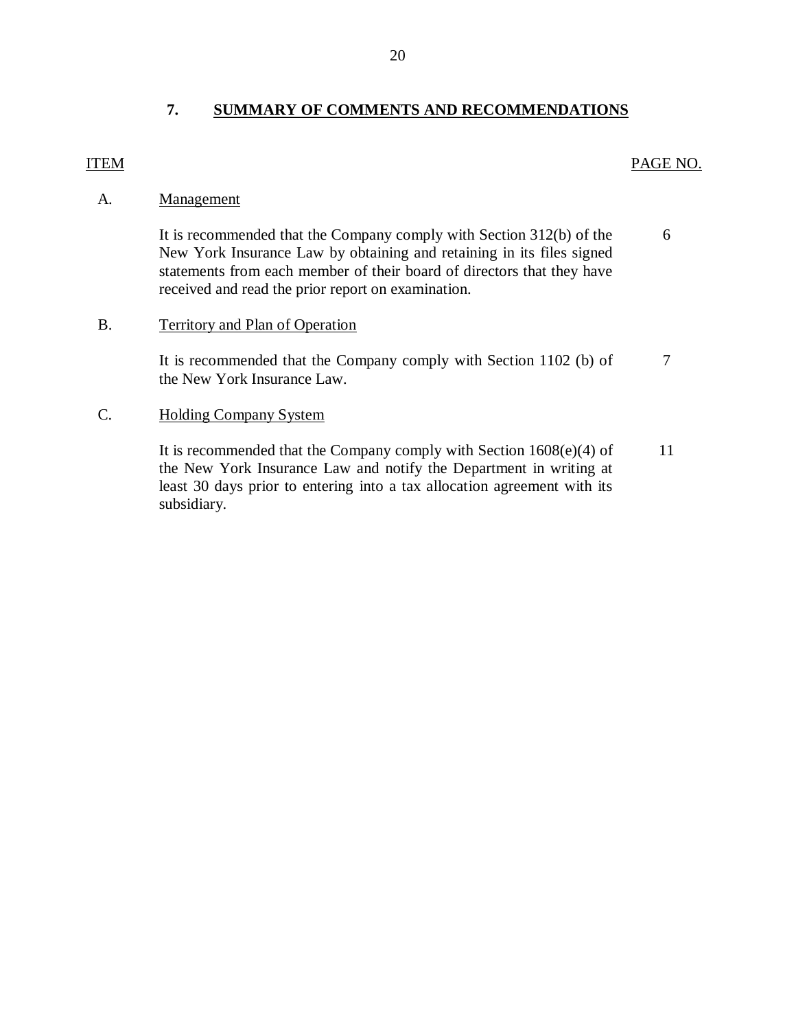## **7. SUMMARY OF COMMENTS AND RECOMMENDATIONS**

## <span id="page-21-0"></span>ITEM PAGE NO.

## A. Management

It is recommended that the Company comply with Section 312(b) of the 6 New York Insurance Law by obtaining and retaining in its files signed statements from each member of their board of directors that they have received and read the prior report on examination.

## B. Territory and Plan of Operation

It is recommended that the Company comply with Section 1102 (b) of 7 the New York Insurance Law.

## C. Holding Company System

It is recommended that the Company comply with Section  $1608(e)(4)$  of 11 the New York Insurance Law and notify the Department in writing at least 30 days prior to entering into a tax allocation agreement with its subsidiary.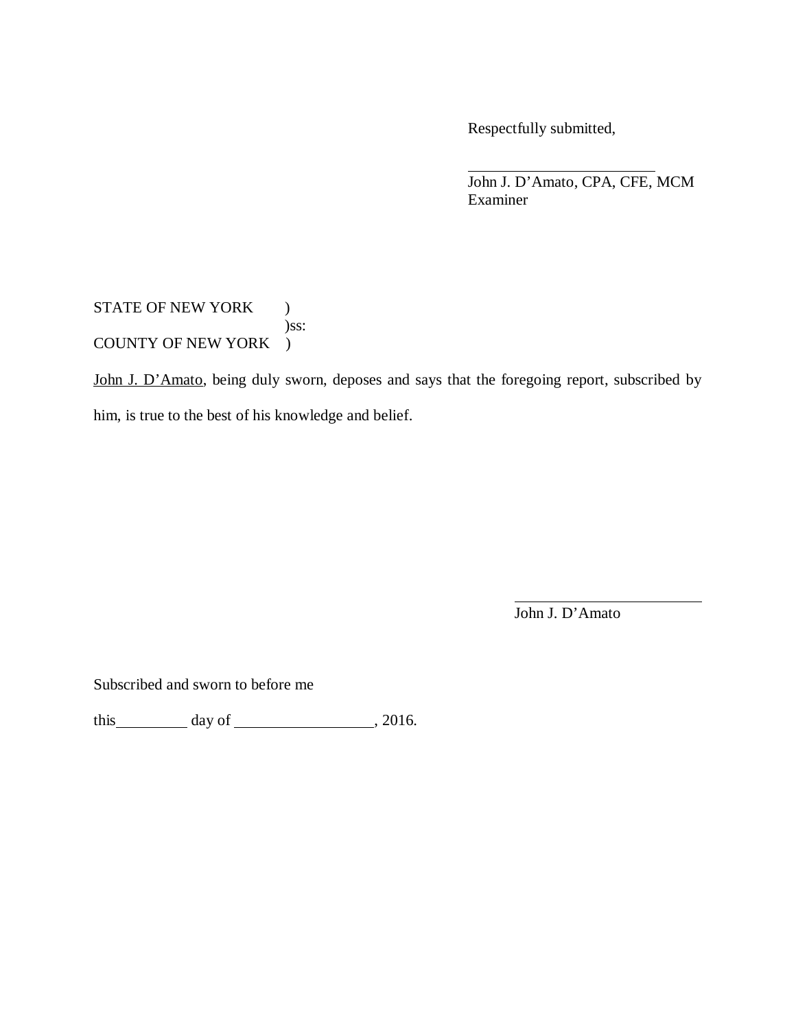Respectfully submitted,

John J. D'Amato, CPA, CFE, MCM Examiner

STATE OF NEW YORK ) )ss: COUNTY OF NEW YORK )

John J. D'Amato, being duly sworn, deposes and says that the foregoing report, subscribed by him, is true to the best of his knowledge and belief.

John J. D'Amato

Subscribed and sworn to before me

this day of , 2016.